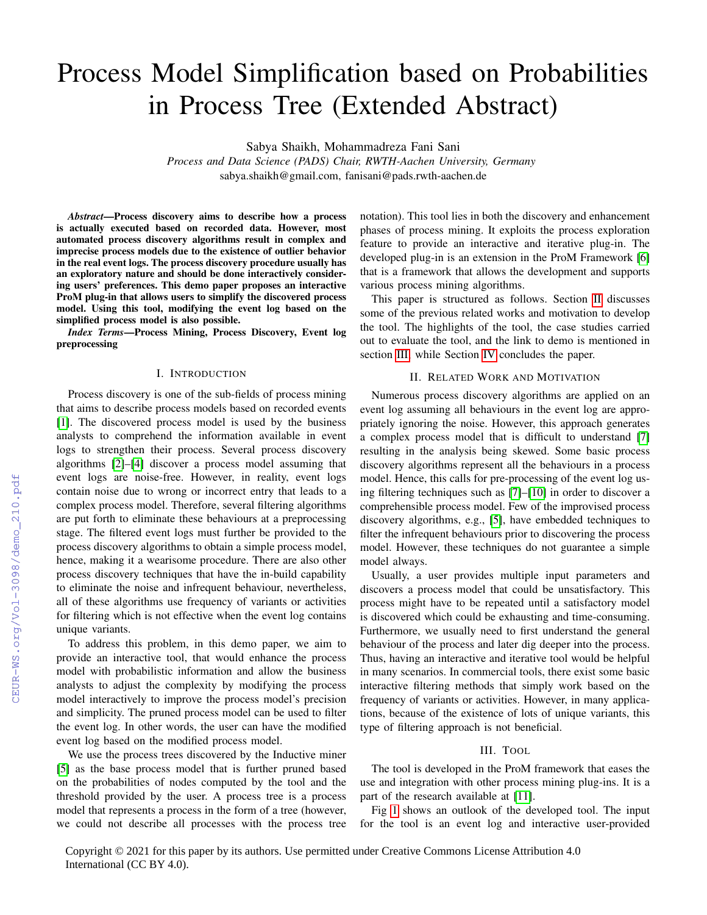# Process Model Simplification based on Probabilities in Process Tree (Extended Abstract)

Sabya Shaikh, Mohammadreza Fani Sani

*Process and Data Science (PADS) Chair, RWTH-Aachen University, Germany* sabya.shaikh@gmail.com, fanisani@pads.rwth-aachen.de

*Abstract*—Process discovery aims to describe how a process is actually executed based on recorded data. However, most automated process discovery algorithms result in complex and imprecise process models due to the existence of outlier behavior in the real event logs. The process discovery procedure usually has an exploratory nature and should be done interactively considering users' preferences. This demo paper proposes an interactive ProM plug-in that allows users to simplify the discovered process model. Using this tool, modifying the event log based on the simplified process model is also possible.

*Index Terms*—Process Mining, Process Discovery, Event log preprocessing

## I. INTRODUCTION

Process discovery is one of the sub-fields of process mining that aims to describe process models based on recorded events [\[1\]](#page--1-0). The discovered process model is used by the business analysts to comprehend the information available in event logs to strengthen their process. Several process discovery algorithms [\[2\]](#page--1-1)–[\[4\]](#page--1-2) discover a process model assuming that event logs are noise-free. However, in reality, event logs contain noise due to wrong or incorrect entry that leads to a complex process model. Therefore, several filtering algorithms are put forth to eliminate these behaviours at a preprocessing stage. The filtered event logs must further be provided to the process discovery algorithms to obtain a simple process model, hence, making it a wearisome procedure. There are also other process discovery techniques that have the in-build capability to eliminate the noise and infrequent behaviour, nevertheless, all of these algorithms use frequency of variants or activities for filtering which is not effective when the event log contains unique variants.

To address this problem, in this demo paper, we aim to provide an interactive tool, that would enhance the process model with probabilistic information and allow the business analysts to adjust the complexity by modifying the process model interactively to improve the process model's precision and simplicity. The pruned process model can be used to filter the event log. In other words, the user can have the modified event log based on the modified process model.

We use the process trees discovered by the Inductive miner [\[5\]](#page--1-3) as the base process model that is further pruned based on the probabilities of nodes computed by the tool and the threshold provided by the user. A process tree is a process model that represents a process in the form of a tree (however, we could not describe all processes with the process tree

notation). This tool lies in both the discovery and enhancement phases of process mining. It exploits the process exploration feature to provide an interactive and iterative plug-in. The developed plug-in is an extension in the ProM Framework [\[6\]](#page--1-4) that is a framework that allows the development and supports various process mining algorithms.

This paper is structured as follows. Section [II](#page-0-0) discusses some of the previous related works and motivation to develop the tool. The highlights of the tool, the case studies carried out to evaluate the tool, and the link to demo is mentioned in section [III,](#page-0-1) while Section [IV](#page--1-5) concludes the paper.

#### II. RELATED WORK AND MOTIVATION

<span id="page-0-0"></span>Numerous process discovery algorithms are applied on an event log assuming all behaviours in the event log are appropriately ignoring the noise. However, this approach generates a complex process model that is difficult to understand [\[7\]](#page--1-6) resulting in the analysis being skewed. Some basic process discovery algorithms represent all the behaviours in a process model. Hence, this calls for pre-processing of the event log using filtering techniques such as [\[7\]](#page--1-6)–[\[10\]](#page--1-7) in order to discover a comprehensible process model. Few of the improvised process discovery algorithms, e.g., [\[5\]](#page--1-3), have embedded techniques to filter the infrequent behaviours prior to discovering the process model. However, these techniques do not guarantee a simple model always.

Usually, a user provides multiple input parameters and discovers a process model that could be unsatisfactory. This process might have to be repeated until a satisfactory model is discovered which could be exhausting and time-consuming. Furthermore, we usually need to first understand the general behaviour of the process and later dig deeper into the process. Thus, having an interactive and iterative tool would be helpful in many scenarios. In commercial tools, there exist some basic interactive filtering methods that simply work based on the frequency of variants or activities. However, in many applications, because of the existence of lots of unique variants, this type of filtering approach is not beneficial.

## III. TOOL

<span id="page-0-1"></span>The tool is developed in the ProM framework that eases the use and integration with other process mining plug-ins. It is a part of the research available at [\[11\]](#page--1-8).

Fig [1](#page--1-9) shows an outlook of the developed tool. The input for the tool is an event log and interactive user-provided